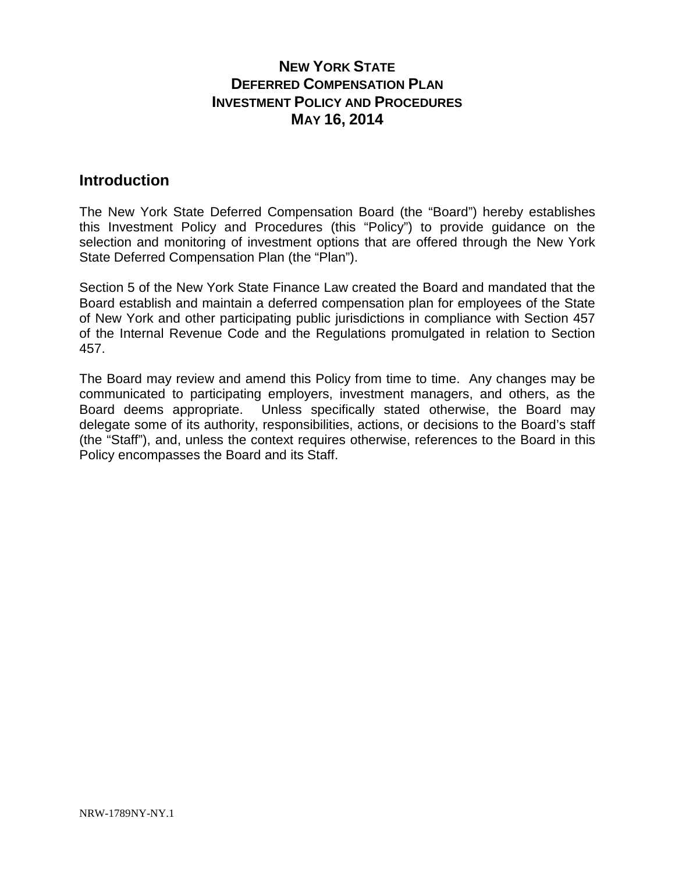### **Introduction**

The New York State Deferred Compensation Board (the "Board") hereby establishes this Investment Policy and Procedures (this "Policy") to provide guidance on the selection and monitoring of investment options that are offered through the New York State Deferred Compensation Plan (the "Plan").

Section 5 of the New York State Finance Law created the Board and mandated that the Board establish and maintain a deferred compensation plan for employees of the State of New York and other participating public jurisdictions in compliance with Section 457 of the Internal Revenue Code and the Regulations promulgated in relation to Section 457.

The Board may review and amend this Policy from time to time. Any changes may be communicated to participating employers, investment managers, and others, as the Board deems appropriate. Unless specifically stated otherwise, the Board may delegate some of its authority, responsibilities, actions, or decisions to the Board's staff (the "Staff"), and, unless the context requires otherwise, references to the Board in this Policy encompasses the Board and its Staff.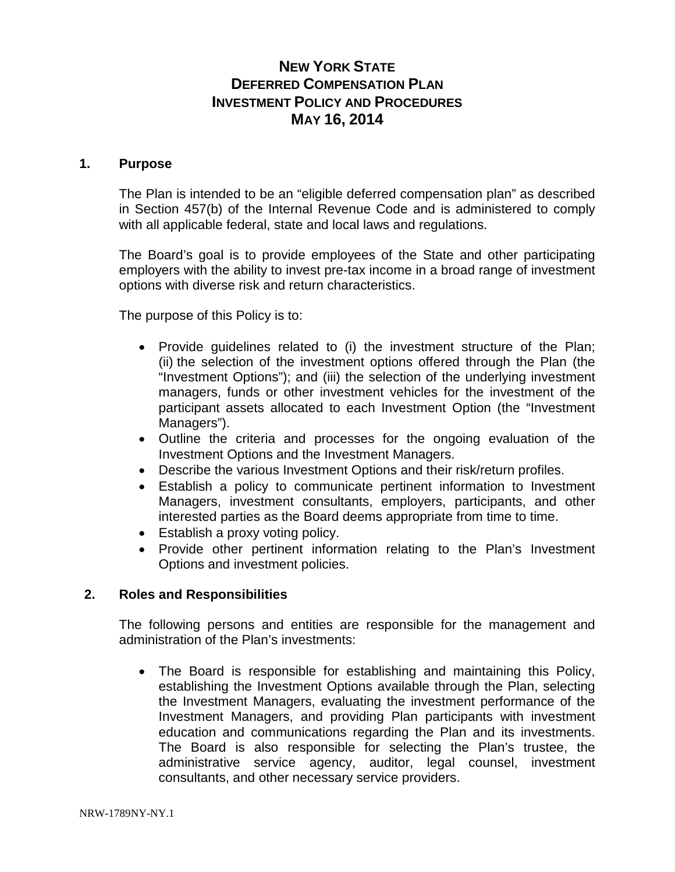### **1. Purpose**

The Plan is intended to be an "eligible deferred compensation plan" as described in Section 457(b) of the Internal Revenue Code and is administered to comply with all applicable federal, state and local laws and regulations.

The Board's goal is to provide employees of the State and other participating employers with the ability to invest pre-tax income in a broad range of investment options with diverse risk and return characteristics.

The purpose of this Policy is to:

- Provide guidelines related to (i) the investment structure of the Plan; (ii) the selection of the investment options offered through the Plan (the "Investment Options"); and (iii) the selection of the underlying investment managers, funds or other investment vehicles for the investment of the participant assets allocated to each Investment Option (the "Investment Managers").
- Outline the criteria and processes for the ongoing evaluation of the Investment Options and the Investment Managers.
- Describe the various Investment Options and their risk/return profiles.
- Establish a policy to communicate pertinent information to Investment Managers, investment consultants, employers, participants, and other interested parties as the Board deems appropriate from time to time.
- Establish a proxy voting policy.
- Provide other pertinent information relating to the Plan's Investment Options and investment policies.

### **2. Roles and Responsibilities**

The following persons and entities are responsible for the management and administration of the Plan's investments:

• The Board is responsible for establishing and maintaining this Policy, establishing the Investment Options available through the Plan, selecting the Investment Managers, evaluating the investment performance of the Investment Managers, and providing Plan participants with investment education and communications regarding the Plan and its investments. The Board is also responsible for selecting the Plan's trustee, the administrative service agency, auditor, legal counsel, investment consultants, and other necessary service providers.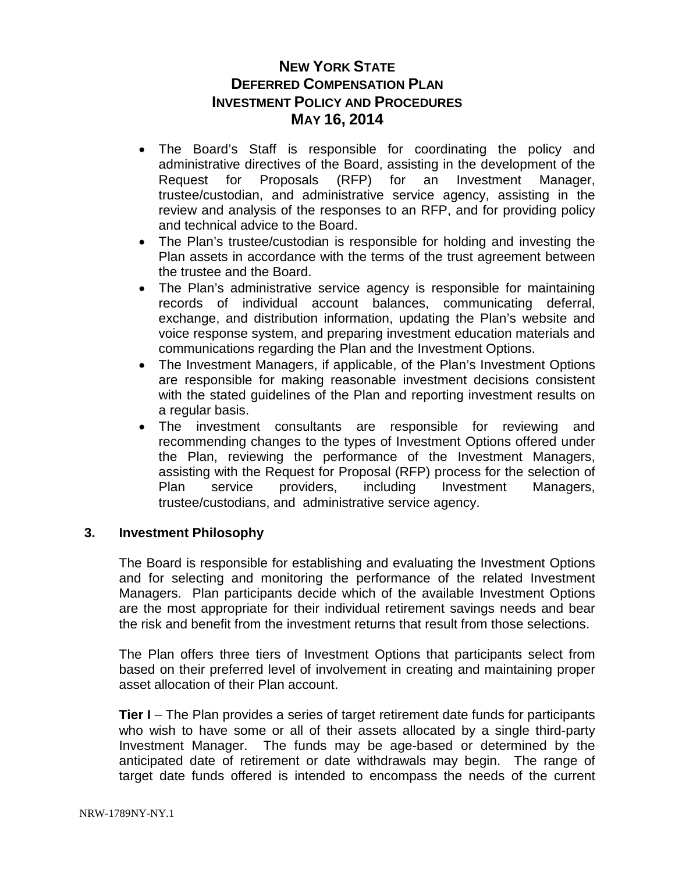- The Board's Staff is responsible for coordinating the policy and administrative directives of the Board, assisting in the development of the Request for Proposals (RFP) for an Investment Manager, trustee/custodian, and administrative service agency, assisting in the review and analysis of the responses to an RFP, and for providing policy and technical advice to the Board.
- The Plan's trustee/custodian is responsible for holding and investing the Plan assets in accordance with the terms of the trust agreement between the trustee and the Board.
- The Plan's administrative service agency is responsible for maintaining records of individual account balances, communicating deferral, exchange, and distribution information, updating the Plan's website and voice response system, and preparing investment education materials and communications regarding the Plan and the Investment Options.
- The Investment Managers, if applicable, of the Plan's Investment Options are responsible for making reasonable investment decisions consistent with the stated guidelines of the Plan and reporting investment results on a regular basis.
- The investment consultants are responsible for reviewing and recommending changes to the types of Investment Options offered under the Plan, reviewing the performance of the Investment Managers, assisting with the Request for Proposal (RFP) process for the selection of Plan service providers, including Investment Managers, trustee/custodians, and administrative service agency.

### **3. Investment Philosophy**

The Board is responsible for establishing and evaluating the Investment Options and for selecting and monitoring the performance of the related Investment Managers. Plan participants decide which of the available Investment Options are the most appropriate for their individual retirement savings needs and bear the risk and benefit from the investment returns that result from those selections.

The Plan offers three tiers of Investment Options that participants select from based on their preferred level of involvement in creating and maintaining proper asset allocation of their Plan account.

**Tier I** – The Plan provides a series of target retirement date funds for participants who wish to have some or all of their assets allocated by a single third-party Investment Manager. The funds may be age-based or determined by the anticipated date of retirement or date withdrawals may begin. The range of target date funds offered is intended to encompass the needs of the current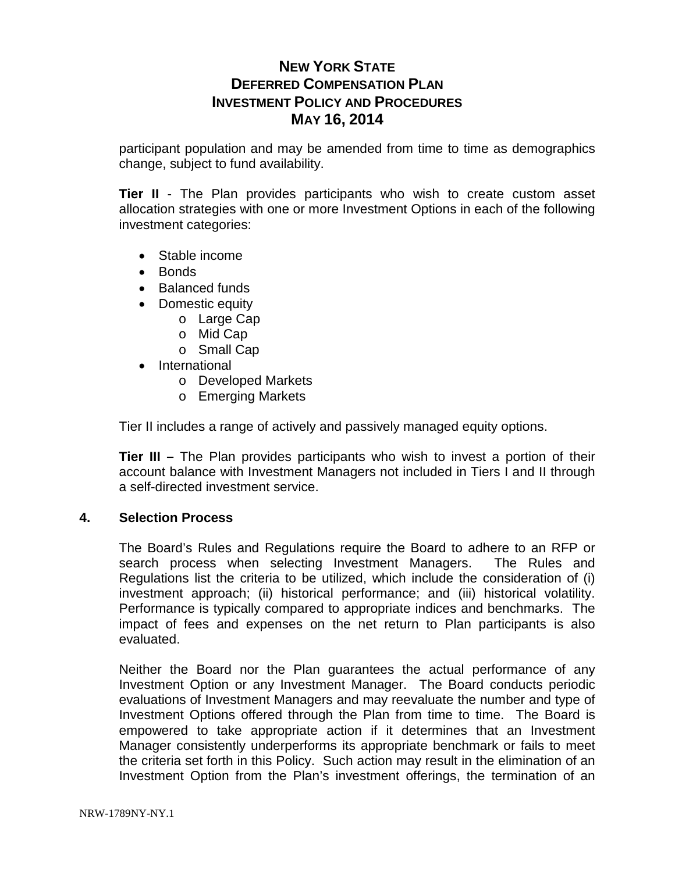participant population and may be amended from time to time as demographics change, subject to fund availability.

**Tier II** - The Plan provides participants who wish to create custom asset allocation strategies with one or more Investment Options in each of the following investment categories:

- Stable income
- Bonds
- Balanced funds
- Domestic equity
	- o Large Cap
	- o Mid Cap
	- o Small Cap
- International
	- o Developed Markets
	- o Emerging Markets

Tier II includes a range of actively and passively managed equity options.

**Tier III –** The Plan provides participants who wish to invest a portion of their account balance with Investment Managers not included in Tiers I and II through a self-directed investment service.

#### **4. Selection Process**

The Board's Rules and Regulations require the Board to adhere to an RFP or search process when selecting Investment Managers. The Rules and Regulations list the criteria to be utilized, which include the consideration of (i) investment approach; (ii) historical performance; and (iii) historical volatility. Performance is typically compared to appropriate indices and benchmarks. The impact of fees and expenses on the net return to Plan participants is also evaluated.

Neither the Board nor the Plan guarantees the actual performance of any Investment Option or any Investment Manager. The Board conducts periodic evaluations of Investment Managers and may reevaluate the number and type of Investment Options offered through the Plan from time to time. The Board is empowered to take appropriate action if it determines that an Investment Manager consistently underperforms its appropriate benchmark or fails to meet the criteria set forth in this Policy. Such action may result in the elimination of an Investment Option from the Plan's investment offerings, the termination of an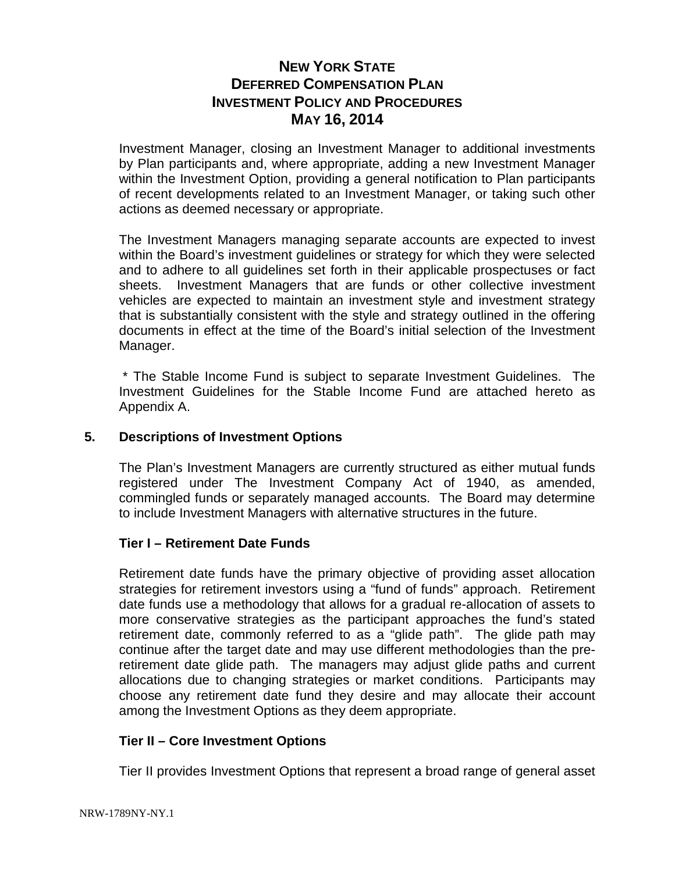Investment Manager, closing an Investment Manager to additional investments by Plan participants and, where appropriate, adding a new Investment Manager within the Investment Option, providing a general notification to Plan participants of recent developments related to an Investment Manager, or taking such other actions as deemed necessary or appropriate.

The Investment Managers managing separate accounts are expected to invest within the Board's investment guidelines or strategy for which they were selected and to adhere to all guidelines set forth in their applicable prospectuses or fact sheets. Investment Managers that are funds or other collective investment vehicles are expected to maintain an investment style and investment strategy that is substantially consistent with the style and strategy outlined in the offering documents in effect at the time of the Board's initial selection of the Investment Manager.

\* The Stable Income Fund is subject to separate Investment Guidelines. The Investment Guidelines for the Stable Income Fund are attached hereto as Appendix A.

### **5. Descriptions of Investment Options**

The Plan's Investment Managers are currently structured as either mutual funds registered under The Investment Company Act of 1940, as amended, commingled funds or separately managed accounts. The Board may determine to include Investment Managers with alternative structures in the future.

### **Tier I – Retirement Date Funds**

Retirement date funds have the primary objective of providing asset allocation strategies for retirement investors using a "fund of funds" approach. Retirement date funds use a methodology that allows for a gradual re-allocation of assets to more conservative strategies as the participant approaches the fund's stated retirement date, commonly referred to as a "glide path". The glide path may continue after the target date and may use different methodologies than the preretirement date glide path. The managers may adjust glide paths and current allocations due to changing strategies or market conditions. Participants may choose any retirement date fund they desire and may allocate their account among the Investment Options as they deem appropriate.

#### **Tier II – Core Investment Options**

Tier II provides Investment Options that represent a broad range of general asset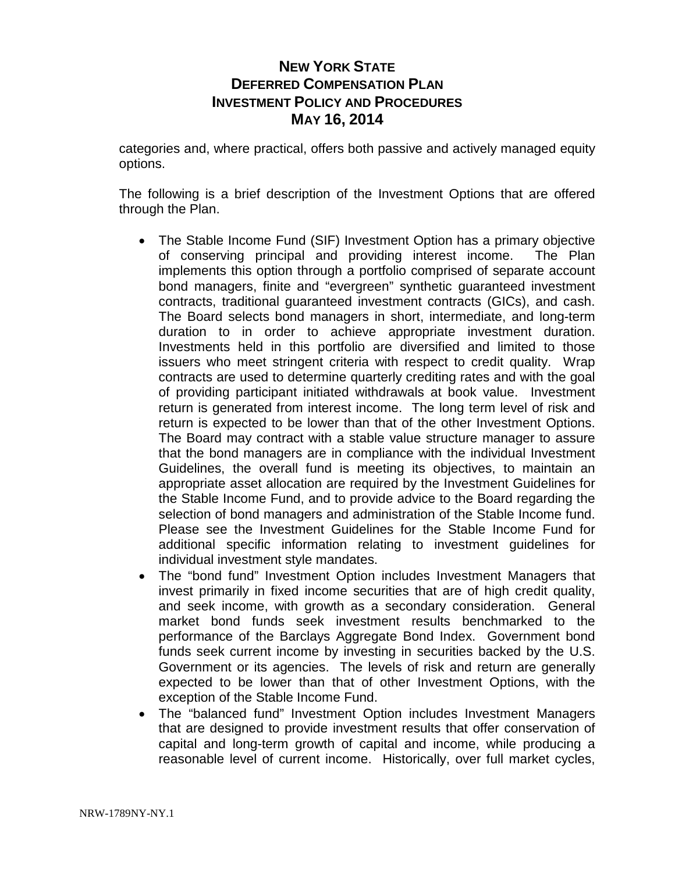categories and, where practical, offers both passive and actively managed equity options.

The following is a brief description of the Investment Options that are offered through the Plan.

- The Stable Income Fund (SIF) Investment Option has a primary objective of conserving principal and providing interest income. The Plan implements this option through a portfolio comprised of separate account bond managers, finite and "evergreen" synthetic guaranteed investment contracts, traditional guaranteed investment contracts (GICs), and cash. The Board selects bond managers in short, intermediate, and long-term duration to in order to achieve appropriate investment duration. Investments held in this portfolio are diversified and limited to those issuers who meet stringent criteria with respect to credit quality. Wrap contracts are used to determine quarterly crediting rates and with the goal of providing participant initiated withdrawals at book value. Investment return is generated from interest income. The long term level of risk and return is expected to be lower than that of the other Investment Options. The Board may contract with a stable value structure manager to assure that the bond managers are in compliance with the individual Investment Guidelines, the overall fund is meeting its objectives, to maintain an appropriate asset allocation are required by the Investment Guidelines for the Stable Income Fund, and to provide advice to the Board regarding the selection of bond managers and administration of the Stable Income fund. Please see the Investment Guidelines for the Stable Income Fund for additional specific information relating to investment guidelines for individual investment style mandates.
- The "bond fund" Investment Option includes Investment Managers that invest primarily in fixed income securities that are of high credit quality, and seek income, with growth as a secondary consideration. General market bond funds seek investment results benchmarked to the performance of the Barclays Aggregate Bond Index. Government bond funds seek current income by investing in securities backed by the U.S. Government or its agencies. The levels of risk and return are generally expected to be lower than that of other Investment Options, with the exception of the Stable Income Fund.
- The "balanced fund" Investment Option includes Investment Managers that are designed to provide investment results that offer conservation of capital and long-term growth of capital and income, while producing a reasonable level of current income. Historically, over full market cycles,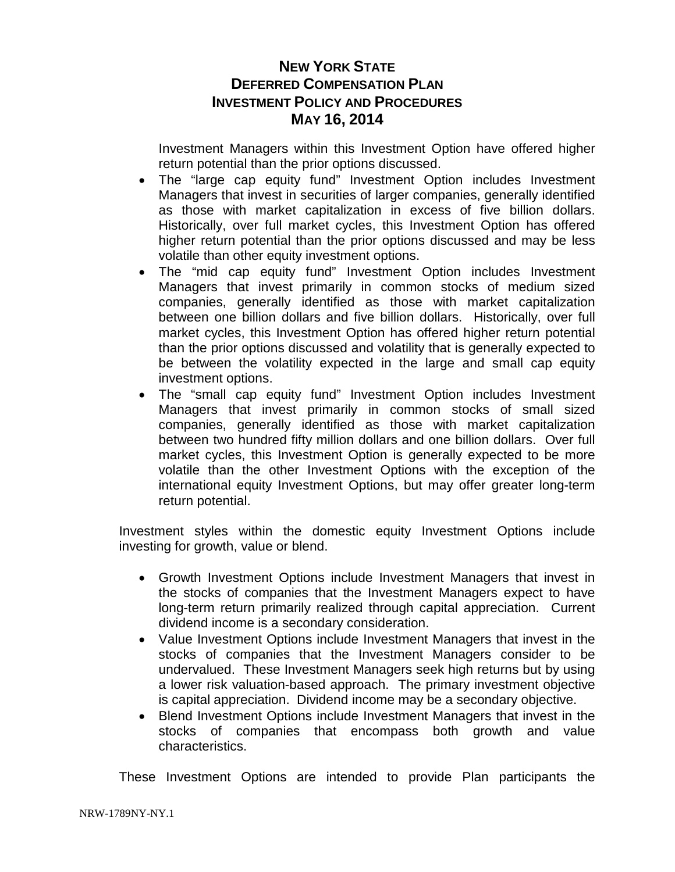Investment Managers within this Investment Option have offered higher return potential than the prior options discussed.

- The "large cap equity fund" Investment Option includes Investment Managers that invest in securities of larger companies, generally identified as those with market capitalization in excess of five billion dollars. Historically, over full market cycles, this Investment Option has offered higher return potential than the prior options discussed and may be less volatile than other equity investment options.
- The "mid cap equity fund" Investment Option includes Investment Managers that invest primarily in common stocks of medium sized companies, generally identified as those with market capitalization between one billion dollars and five billion dollars. Historically, over full market cycles, this Investment Option has offered higher return potential than the prior options discussed and volatility that is generally expected to be between the volatility expected in the large and small cap equity investment options.
- The "small cap equity fund" Investment Option includes Investment Managers that invest primarily in common stocks of small sized companies, generally identified as those with market capitalization between two hundred fifty million dollars and one billion dollars. Over full market cycles, this Investment Option is generally expected to be more volatile than the other Investment Options with the exception of the international equity Investment Options, but may offer greater long-term return potential.

Investment styles within the domestic equity Investment Options include investing for growth, value or blend.

- Growth Investment Options include Investment Managers that invest in the stocks of companies that the Investment Managers expect to have long-term return primarily realized through capital appreciation. Current dividend income is a secondary consideration.
- Value Investment Options include Investment Managers that invest in the stocks of companies that the Investment Managers consider to be undervalued. These Investment Managers seek high returns but by using a lower risk valuation-based approach. The primary investment objective is capital appreciation. Dividend income may be a secondary objective.
- Blend Investment Options include Investment Managers that invest in the stocks of companies that encompass both growth and value characteristics.

These Investment Options are intended to provide Plan participants the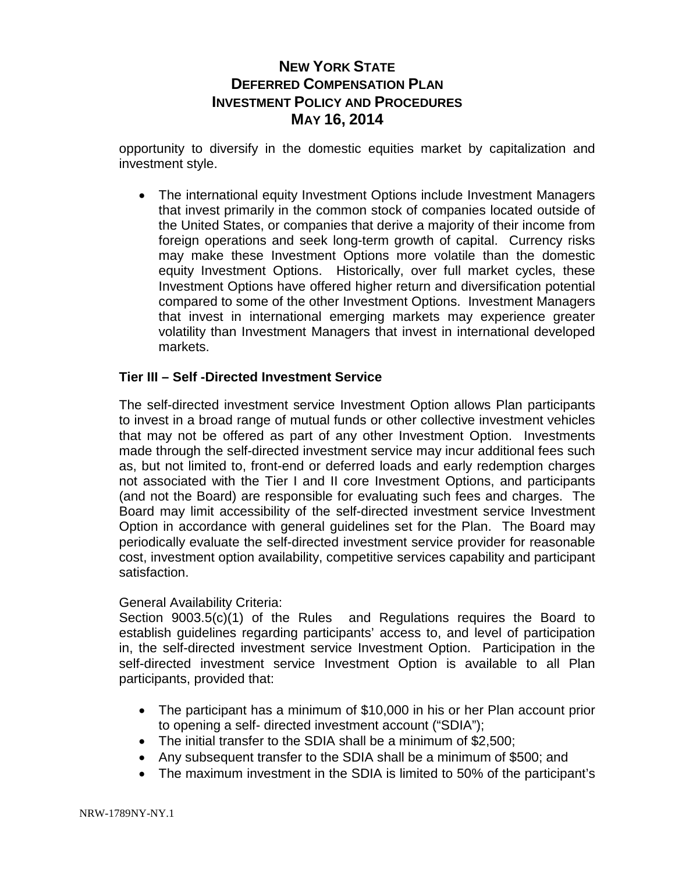opportunity to diversify in the domestic equities market by capitalization and investment style.

• The international equity Investment Options include Investment Managers that invest primarily in the common stock of companies located outside of the United States, or companies that derive a majority of their income from foreign operations and seek long-term growth of capital. Currency risks may make these Investment Options more volatile than the domestic equity Investment Options. Historically, over full market cycles, these Investment Options have offered higher return and diversification potential compared to some of the other Investment Options. Investment Managers that invest in international emerging markets may experience greater volatility than Investment Managers that invest in international developed markets.

### **Tier III – Self -Directed Investment Service**

The self-directed investment service Investment Option allows Plan participants to invest in a broad range of mutual funds or other collective investment vehicles that may not be offered as part of any other Investment Option. Investments made through the self-directed investment service may incur additional fees such as, but not limited to, front-end or deferred loads and early redemption charges not associated with the Tier I and II core Investment Options, and participants (and not the Board) are responsible for evaluating such fees and charges. The Board may limit accessibility of the self-directed investment service Investment Option in accordance with general guidelines set for the Plan. The Board may periodically evaluate the self-directed investment service provider for reasonable cost, investment option availability, competitive services capability and participant satisfaction.

### General Availability Criteria:

Section 9003.5(c)(1) of the Rules and Regulations requires the Board to establish guidelines regarding participants' access to, and level of participation in, the self-directed investment service Investment Option. Participation in the self-directed investment service Investment Option is available to all Plan participants, provided that:

- The participant has a minimum of \$10,000 in his or her Plan account prior to opening a self- directed investment account ("SDIA");
- The initial transfer to the SDIA shall be a minimum of \$2,500;
- Any subsequent transfer to the SDIA shall be a minimum of \$500; and
- The maximum investment in the SDIA is limited to 50% of the participant's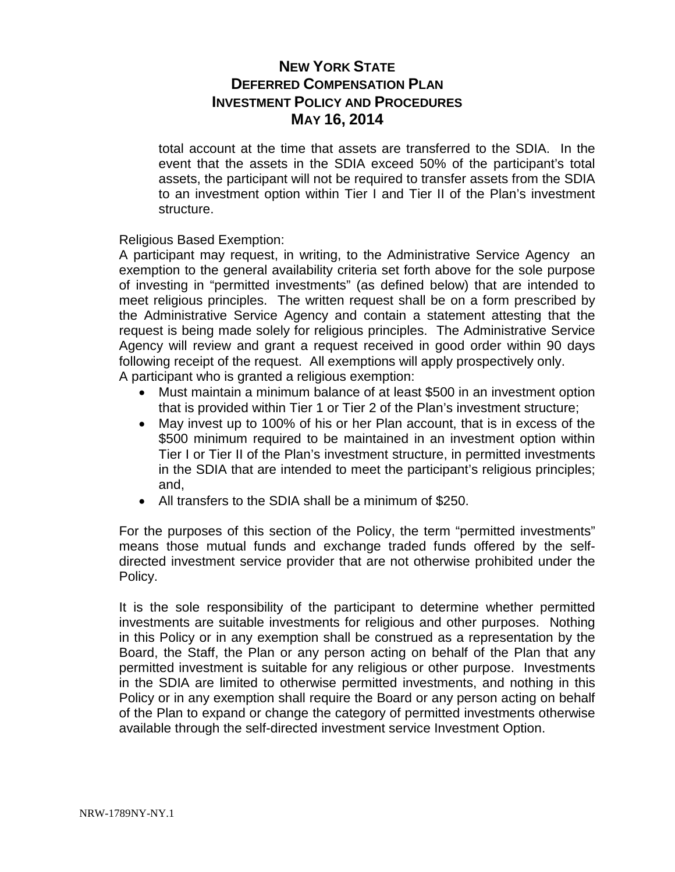total account at the time that assets are transferred to the SDIA. In the event that the assets in the SDIA exceed 50% of the participant's total assets, the participant will not be required to transfer assets from the SDIA to an investment option within Tier I and Tier II of the Plan's investment structure.

Religious Based Exemption:

A participant may request, in writing, to the Administrative Service Agency an exemption to the general availability criteria set forth above for the sole purpose of investing in "permitted investments" (as defined below) that are intended to meet religious principles. The written request shall be on a form prescribed by the Administrative Service Agency and contain a statement attesting that the request is being made solely for religious principles. The Administrative Service Agency will review and grant a request received in good order within 90 days following receipt of the request. All exemptions will apply prospectively only. A participant who is granted a religious exemption:

- Must maintain a minimum balance of at least \$500 in an investment option that is provided within Tier 1 or Tier 2 of the Plan's investment structure;
- May invest up to 100% of his or her Plan account, that is in excess of the \$500 minimum required to be maintained in an investment option within Tier I or Tier II of the Plan's investment structure, in permitted investments in the SDIA that are intended to meet the participant's religious principles; and,
- All transfers to the SDIA shall be a minimum of \$250.

For the purposes of this section of the Policy, the term "permitted investments" means those mutual funds and exchange traded funds offered by the selfdirected investment service provider that are not otherwise prohibited under the Policy.

It is the sole responsibility of the participant to determine whether permitted investments are suitable investments for religious and other purposes. Nothing in this Policy or in any exemption shall be construed as a representation by the Board, the Staff, the Plan or any person acting on behalf of the Plan that any permitted investment is suitable for any religious or other purpose. Investments in the SDIA are limited to otherwise permitted investments, and nothing in this Policy or in any exemption shall require the Board or any person acting on behalf of the Plan to expand or change the category of permitted investments otherwise available through the self-directed investment service Investment Option.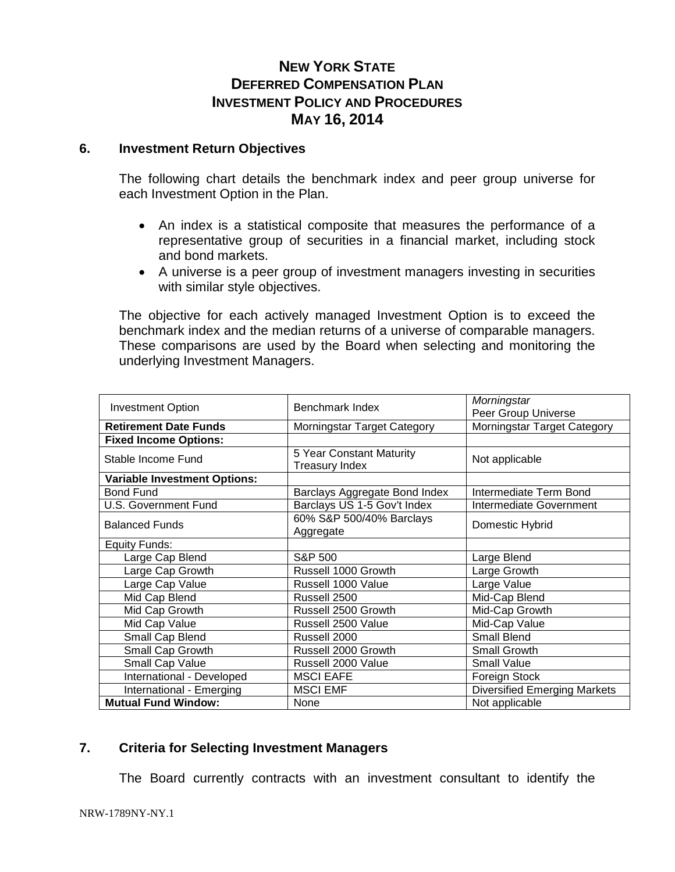#### **6. Investment Return Objectives**

The following chart details the benchmark index and peer group universe for each Investment Option in the Plan.

- An index is a statistical composite that measures the performance of a representative group of securities in a financial market, including stock and bond markets.
- A universe is a peer group of investment managers investing in securities with similar style objectives.

The objective for each actively managed Investment Option is to exceed the benchmark index and the median returns of a universe of comparable managers. These comparisons are used by the Board when selecting and monitoring the underlying Investment Managers.

| <b>Investment Option</b>            | Benchmark Index                                   | Morningstar<br>Peer Group Universe  |
|-------------------------------------|---------------------------------------------------|-------------------------------------|
| <b>Retirement Date Funds</b>        | Morningstar Target Category                       | Morningstar Target Category         |
| <b>Fixed Income Options:</b>        |                                                   |                                     |
| Stable Income Fund                  | 5 Year Constant Maturity<br><b>Treasury Index</b> | Not applicable                      |
| <b>Variable Investment Options:</b> |                                                   |                                     |
| <b>Bond Fund</b>                    | Barclays Aggregate Bond Index                     | Intermediate Term Bond              |
| <b>U.S. Government Fund</b>         | Barclays US 1-5 Gov't Index                       | Intermediate Government             |
| <b>Balanced Funds</b>               | 60% S&P 500/40% Barclays<br>Aggregate             | Domestic Hybrid                     |
| Equity Funds:                       |                                                   |                                     |
| Large Cap Blend                     | S&P 500                                           | Large Blend                         |
| Large Cap Growth                    | Russell 1000 Growth                               | Large Growth                        |
| Large Cap Value                     | Russell 1000 Value                                | Large Value                         |
| Mid Cap Blend                       | Russell 2500                                      | Mid-Cap Blend                       |
| Mid Cap Growth                      | Russell 2500 Growth                               | Mid-Cap Growth                      |
| Mid Cap Value                       | Russell 2500 Value                                | Mid-Cap Value                       |
| Small Cap Blend                     | Russell 2000                                      | <b>Small Blend</b>                  |
| Small Cap Growth                    | Russell 2000 Growth                               | Small Growth                        |
| Small Cap Value                     | Russell 2000 Value                                | <b>Small Value</b>                  |
| International - Developed           | <b>MSCI EAFE</b>                                  | Foreign Stock                       |
| International - Emerging            | <b>MSCI EMF</b>                                   | <b>Diversified Emerging Markets</b> |
| <b>Mutual Fund Window:</b>          | None                                              | Not applicable                      |

#### **7. Criteria for Selecting Investment Managers**

The Board currently contracts with an investment consultant to identify the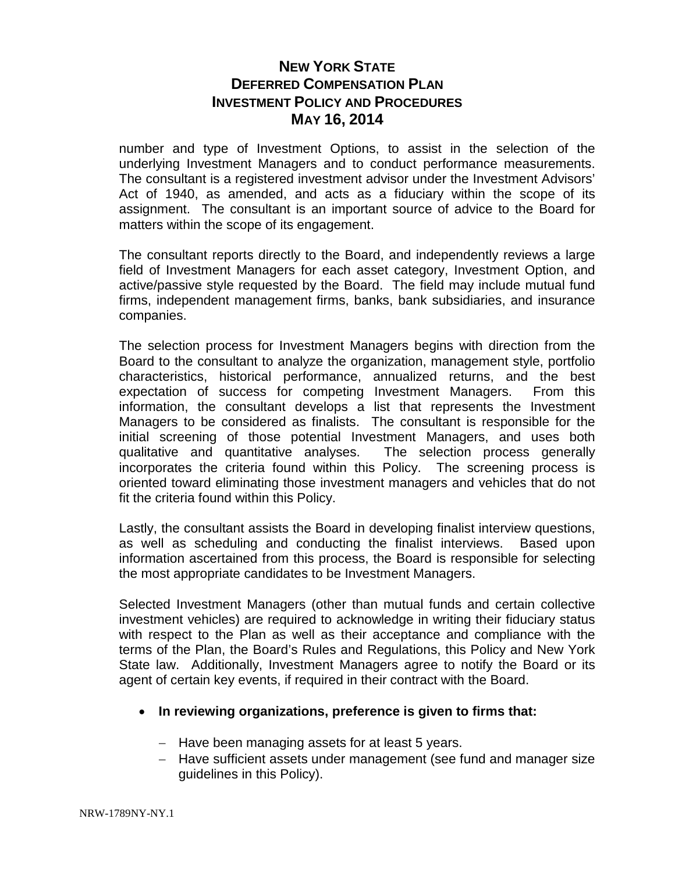number and type of Investment Options, to assist in the selection of the underlying Investment Managers and to conduct performance measurements. The consultant is a registered investment advisor under the Investment Advisors' Act of 1940, as amended, and acts as a fiduciary within the scope of its assignment. The consultant is an important source of advice to the Board for matters within the scope of its engagement.

The consultant reports directly to the Board, and independently reviews a large field of Investment Managers for each asset category, Investment Option, and active/passive style requested by the Board. The field may include mutual fund firms, independent management firms, banks, bank subsidiaries, and insurance companies.

The selection process for Investment Managers begins with direction from the Board to the consultant to analyze the organization, management style, portfolio characteristics, historical performance, annualized returns, and the best expectation of success for competing Investment Managers. From this information, the consultant develops a list that represents the Investment Managers to be considered as finalists. The consultant is responsible for the initial screening of those potential Investment Managers, and uses both qualitative and quantitative analyses. The selection process generally incorporates the criteria found within this Policy. The screening process is oriented toward eliminating those investment managers and vehicles that do not fit the criteria found within this Policy.

Lastly, the consultant assists the Board in developing finalist interview questions, as well as scheduling and conducting the finalist interviews. Based upon information ascertained from this process, the Board is responsible for selecting the most appropriate candidates to be Investment Managers.

Selected Investment Managers (other than mutual funds and certain collective investment vehicles) are required to acknowledge in writing their fiduciary status with respect to the Plan as well as their acceptance and compliance with the terms of the Plan, the Board's Rules and Regulations, this Policy and New York State law. Additionally, Investment Managers agree to notify the Board or its agent of certain key events, if required in their contract with the Board.

### • **In reviewing organizations, preference is given to firms that:**

- − Have been managing assets for at least 5 years.
- − Have sufficient assets under management (see fund and manager size guidelines in this Policy).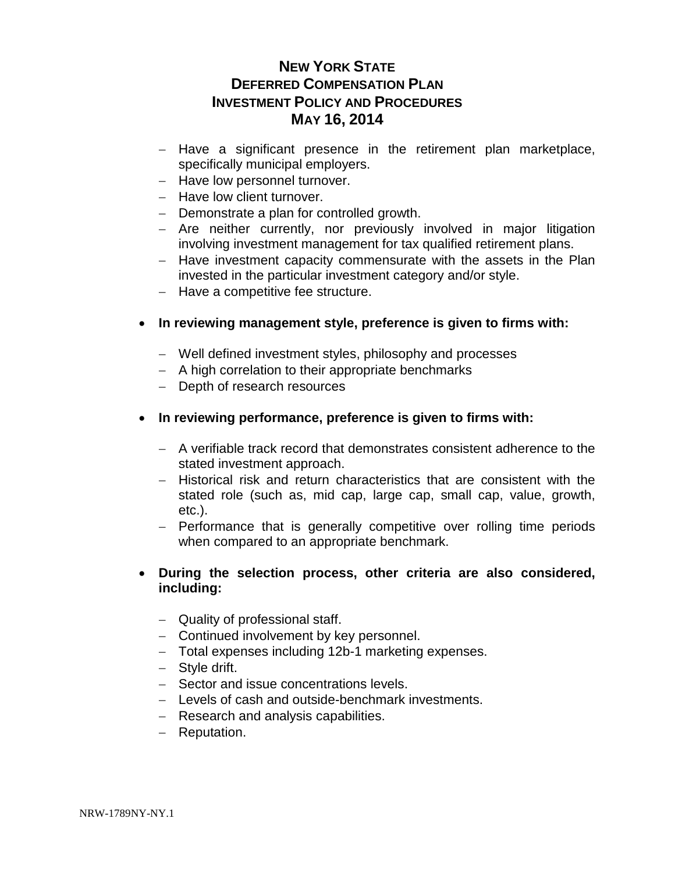- − Have a significant presence in the retirement plan marketplace, specifically municipal employers.
- − Have low personnel turnover.
- − Have low client turnover.
- − Demonstrate a plan for controlled growth.
- − Are neither currently, nor previously involved in major litigation involving investment management for tax qualified retirement plans.
- − Have investment capacity commensurate with the assets in the Plan invested in the particular investment category and/or style.
- − Have a competitive fee structure.

### • **In reviewing management style, preference is given to firms with:**

- − Well defined investment styles, philosophy and processes
- − A high correlation to their appropriate benchmarks
- − Depth of research resources
- **In reviewing performance, preference is given to firms with:**
	- − A verifiable track record that demonstrates consistent adherence to the stated investment approach.
	- − Historical risk and return characteristics that are consistent with the stated role (such as, mid cap, large cap, small cap, value, growth, etc.).
	- − Performance that is generally competitive over rolling time periods when compared to an appropriate benchmark.

### • **During the selection process, other criteria are also considered, including:**

- − Quality of professional staff.
- − Continued involvement by key personnel.
- − Total expenses including 12b-1 marketing expenses.
- − Style drift.
- − Sector and issue concentrations levels.
- − Levels of cash and outside-benchmark investments.
- − Research and analysis capabilities.
- − Reputation.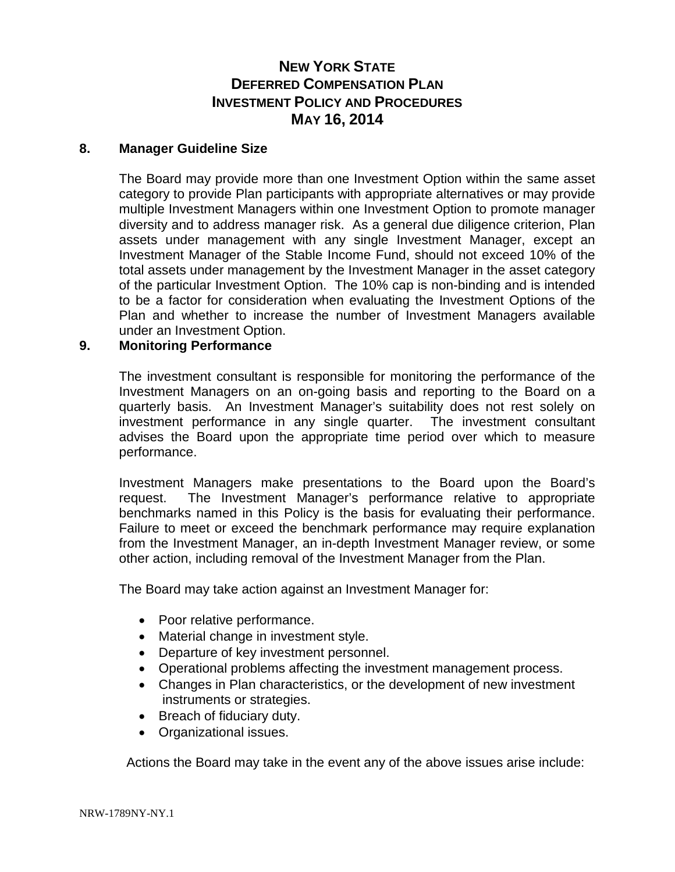#### **8. Manager Guideline Size**

The Board may provide more than one Investment Option within the same asset category to provide Plan participants with appropriate alternatives or may provide multiple Investment Managers within one Investment Option to promote manager diversity and to address manager risk. As a general due diligence criterion, Plan assets under management with any single Investment Manager, except an Investment Manager of the Stable Income Fund, should not exceed 10% of the total assets under management by the Investment Manager in the asset category of the particular Investment Option. The 10% cap is non-binding and is intended to be a factor for consideration when evaluating the Investment Options of the Plan and whether to increase the number of Investment Managers available under an Investment Option.

### **9. Monitoring Performance**

The investment consultant is responsible for monitoring the performance of the Investment Managers on an on-going basis and reporting to the Board on a quarterly basis. An Investment Manager's suitability does not rest solely on investment performance in any single quarter. The investment consultant advises the Board upon the appropriate time period over which to measure performance.

Investment Managers make presentations to the Board upon the Board's request. The Investment Manager's performance relative to appropriate benchmarks named in this Policy is the basis for evaluating their performance. Failure to meet or exceed the benchmark performance may require explanation from the Investment Manager, an in-depth Investment Manager review, or some other action, including removal of the Investment Manager from the Plan.

The Board may take action against an Investment Manager for:

- Poor relative performance.
- Material change in investment style.
- Departure of key investment personnel.
- Operational problems affecting the investment management process.
- Changes in Plan characteristics, or the development of new investment instruments or strategies.
- Breach of fiduciary duty.
- Organizational issues.

Actions the Board may take in the event any of the above issues arise include: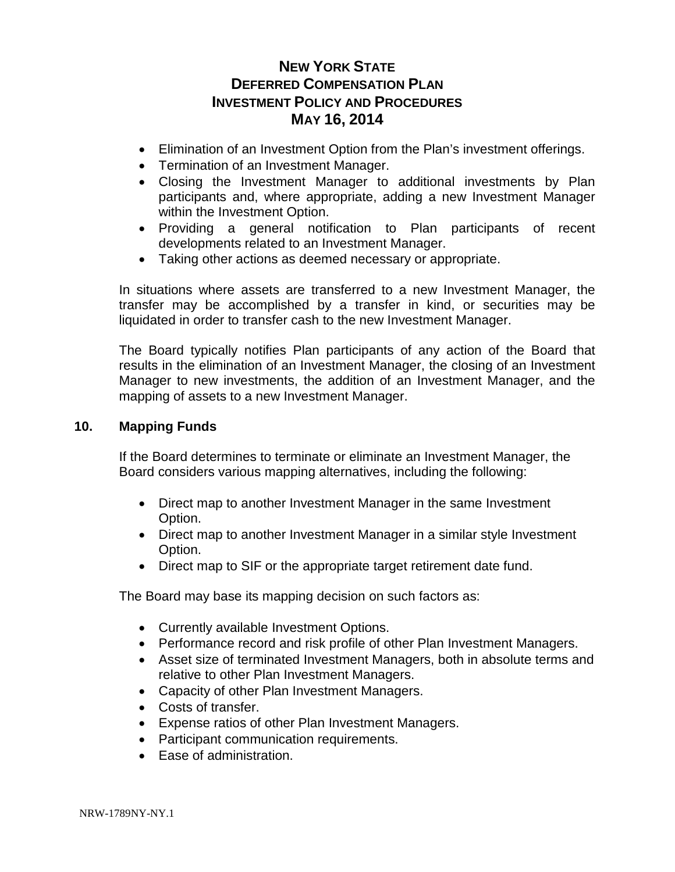- Elimination of an Investment Option from the Plan's investment offerings.
- Termination of an Investment Manager.
- Closing the Investment Manager to additional investments by Plan participants and, where appropriate, adding a new Investment Manager within the Investment Option.
- Providing a general notification to Plan participants of recent developments related to an Investment Manager.
- Taking other actions as deemed necessary or appropriate.

In situations where assets are transferred to a new Investment Manager, the transfer may be accomplished by a transfer in kind, or securities may be liquidated in order to transfer cash to the new Investment Manager.

The Board typically notifies Plan participants of any action of the Board that results in the elimination of an Investment Manager, the closing of an Investment Manager to new investments, the addition of an Investment Manager, and the mapping of assets to a new Investment Manager.

#### **10. Mapping Funds**

If the Board determines to terminate or eliminate an Investment Manager, the Board considers various mapping alternatives, including the following:

- Direct map to another Investment Manager in the same Investment Option.
- Direct map to another Investment Manager in a similar style Investment Option.
- Direct map to SIF or the appropriate target retirement date fund.

The Board may base its mapping decision on such factors as:

- Currently available Investment Options.
- Performance record and risk profile of other Plan Investment Managers.
- Asset size of terminated Investment Managers, both in absolute terms and relative to other Plan Investment Managers.
- Capacity of other Plan Investment Managers.
- Costs of transfer.
- Expense ratios of other Plan Investment Managers.
- Participant communication requirements.
- Ease of administration.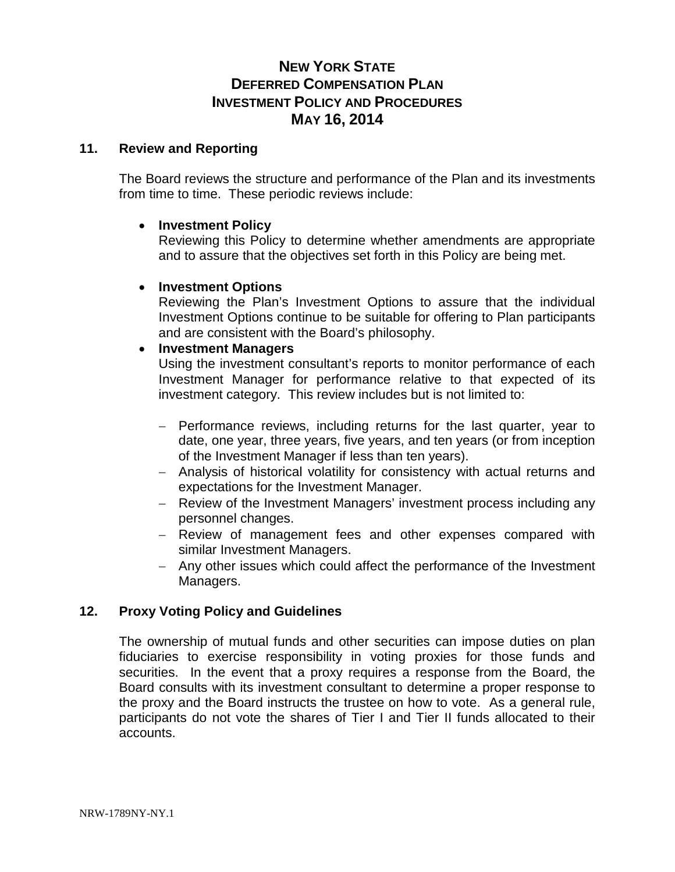#### **11. Review and Reporting**

The Board reviews the structure and performance of the Plan and its investments from time to time. These periodic reviews include:

#### • **Investment Policy**

Reviewing this Policy to determine whether amendments are appropriate and to assure that the objectives set forth in this Policy are being met.

### • **Investment Options**

Reviewing the Plan's Investment Options to assure that the individual Investment Options continue to be suitable for offering to Plan participants and are consistent with the Board's philosophy.

#### • **Investment Managers**

Using the investment consultant's reports to monitor performance of each Investment Manager for performance relative to that expected of its investment category. This review includes but is not limited to:

- − Performance reviews, including returns for the last quarter, year to date, one year, three years, five years, and ten years (or from inception of the Investment Manager if less than ten years).
- − Analysis of historical volatility for consistency with actual returns and expectations for the Investment Manager.
- − Review of the Investment Managers' investment process including any personnel changes.
- − Review of management fees and other expenses compared with similar Investment Managers.
- − Any other issues which could affect the performance of the Investment Managers.

### **12. Proxy Voting Policy and Guidelines**

The ownership of mutual funds and other securities can impose duties on plan fiduciaries to exercise responsibility in voting proxies for those funds and securities. In the event that a proxy requires a response from the Board, the Board consults with its investment consultant to determine a proper response to the proxy and the Board instructs the trustee on how to vote. As a general rule, participants do not vote the shares of Tier I and Tier II funds allocated to their accounts.